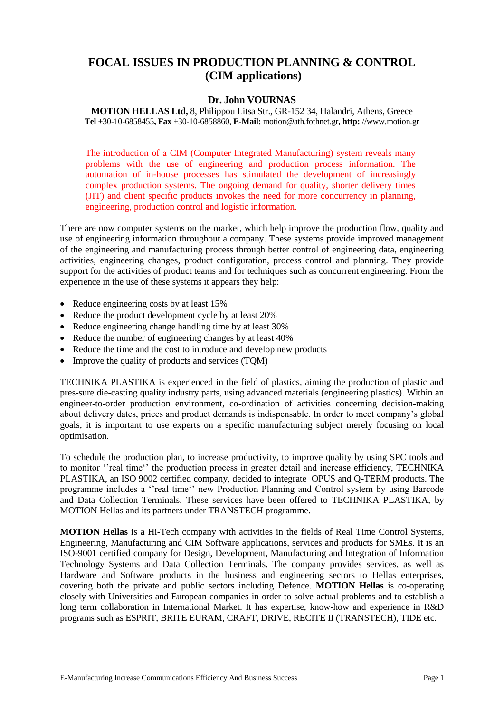# **FOCAL ISSUES IN PRODUCTION PLANNING & CONTROL (CIM applications)**

## **Dr. John VOURNAS**

**MOTION HELLAS Ltd,** 8, Philippou Litsa Str., GR-152 34, Halandri, Athens, Greece **Tel** +30-10-6858455**, Fax** +30-10-6858860, **E-Mail:** motion@ath.fothnet.gr**, http:** //www.motion.gr

The introduction of a CIM (Computer Integrated Manufacturing) system reveals many problems with the use of engineering and production process information. The automation of in-house processes has stimulated the development of increasingly complex production systems. The ongoing demand for quality, shorter delivery times (JIT) and client specific products invokes the need for more concurrency in planning, engineering, production control and logistic information.

There are now computer systems on the market, which help improve the production flow, quality and use of engineering information throughout a company. These systems provide improved management of the engineering and manufacturing process through better control of engineering data, engineering activities, engineering changes, product configuration, process control and planning. They provide support for the activities of product teams and for techniques such as concurrent engineering. From the experience in the use of these systems it appears they help:

- Reduce engineering costs by at least 15%
- Reduce the product development cycle by at least 20%
- Reduce engineering change handling time by at least 30%
- Reduce the number of engineering changes by at least 40%
- Reduce the time and the cost to introduce and develop new products
- Improve the quality of products and services (TQM)

TECHNIKA PLASTIKA is experienced in the field of plastics, aiming the production of plastic and pres-sure die-casting quality industry parts, using advanced materials (engineering plastics). Within an engineer-to-order production environment, co-ordination of activities concerning decision-making about delivery dates, prices and product demands is indispensable. In order to meet company's global goals, it is important to use experts on a specific manufacturing subject merely focusing on local optimisation.

To schedule the production plan, to increase productivity, to improve quality by using SPC tools and to monitor ''real time'' the production process in greater detail and increase efficiency, TECHNIKA PLASTIKA, an ISO 9002 certified company, decided to integrate OPUS and Q-TERM products. The programme includes a ''real time'' new Production Planning and Control system by using Barcode and Data Collection Terminals. These services have been offered to TECHNIKA PLASTIKA, by MOTION Hellas and its partners under TRANSTECH programme.

**MOTION Hellas** is a Hi-Tech company with activities in the fields of Real Time Control Systems, Engineering, Manufacturing and CIM Software applications, services and products for SMEs. It is an ISO-9001 certified company for Design, Development, Manufacturing and Integration of Information Technology Systems and Data Collection Terminals. The company provides services, as well as Hardware and Software products in the business and engineering sectors to Hellas enterprises, covering both the private and public sectors including Defence. **MOTION Hellas** is co-operating closely with Universities and European companies in order to solve actual problems and to establish a long term collaboration in International Market. It has expertise, know-how and experience in R&D programs such as ESPRIT, BRITE EURAM, CRAFT, DRIVE, RECITE II (TRANSTECH), TIDE etc.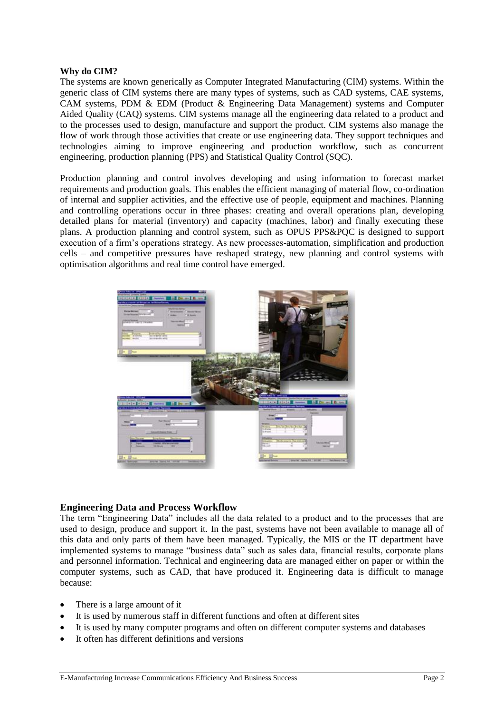#### **Why do CIM?**

The systems are known generically as Computer Integrated Manufacturing (CIM) systems. Within the generic class of CIM systems there are many types of systems, such as CAD systems, CAE systems, CAM systems, PDM & EDM (Product & Engineering Data Management) systems and Computer Aided Quality (CAQ) systems. CIM systems manage all the engineering data related to a product and to the processes used to design, manufacture and support the product. CIM systems also manage the flow of work through those activities that create or use engineering data. They support techniques and technologies aiming to improve engineering and production workflow, such as concurrent engineering, production planning (PPS) and Statistical Quality Control (SQC).

Production planning and control involves developing and using information to forecast market requirements and production goals. This enables the efficient managing of material flow, co-ordination of internal and supplier activities, and the effective use of people, equipment and machines. Planning and controlling operations occur in three phases: creating and overall operations plan, developing detailed plans for material (inventory) and capacity (machines, labor) and finally executing these plans. A production planning and control system, such as OPUS PPS&PQC is designed to support execution of a firm's operations strategy. As new processes-automation, simplification and production cells – and competitive pressures have reshaped strategy, new planning and control systems with optimisation algorithms and real time control have emerged.



#### **Engineering Data and Process Workflow**

The term "Engineering Data" includes all the data related to a product and to the processes that are used to design, produce and support it. In the past, systems have not been available to manage all of this data and only parts of them have been managed. Typically, the MIS or the IT department have implemented systems to manage "business data" such as sales data, financial results, corporate plans and personnel information. Technical and engineering data are managed either on paper or within the computer systems, such as CAD, that have produced it. Engineering data is difficult to manage because:

- There is a large amount of it
- It is used by numerous staff in different functions and often at different sites
- It is used by many computer programs and often on different computer systems and databases
- It often has different definitions and versions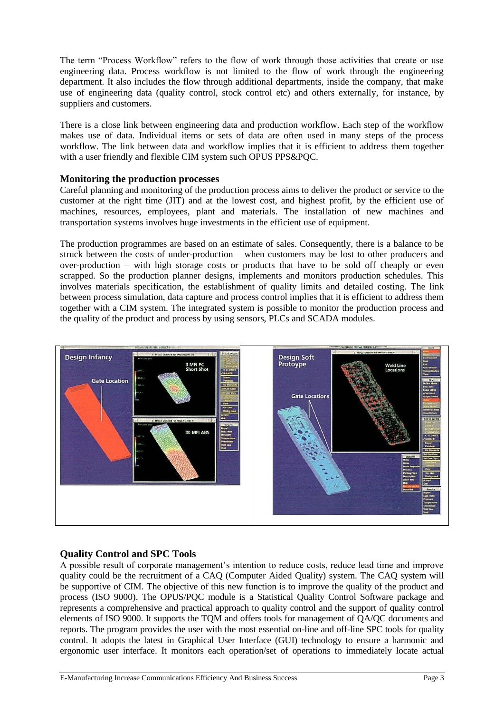The term "Process Workflow" refers to the flow of work through those activities that create or use engineering data. Process workflow is not limited to the flow of work through the engineering department. It also includes the flow through additional departments, inside the company, that make use of engineering data (quality control, stock control etc) and others externally, for instance, by suppliers and customers.

There is a close link between engineering data and production workflow. Each step of the workflow makes use of data. Individual items or sets of data are often used in many steps of the process workflow. The link between data and workflow implies that it is efficient to address them together with a user friendly and flexible CIM system such OPUS PPS&PQC.

## **Monitoring the production processes**

Careful planning and monitoring of the production process aims to deliver the product or service to the customer at the right time (JIT) and at the lowest cost, and highest profit, by the efficient use of machines, resources, employees, plant and materials. The installation of new machines and transportation systems involves huge investments in the efficient use of equipment.

The production programmes are based on an estimate of sales. Consequently, there is a balance to be struck between the costs of under-production – when customers may be lost to other producers and over-production – with high storage costs or products that have to be sold off cheaply or even scrapped. So the production planner designs, implements and monitors production schedules. This involves materials specification, the establishment of quality limits and detailed costing. The link between process simulation, data capture and process control implies that it is efficient to address them together with a CIM system. The integrated system is possible to monitor the production process and the quality of the product and process by using sensors, PLCs and SCADA modules.



## **Quality Control and SPC Tools**

A possible result of corporate management's intention to reduce costs, reduce lead time and improve quality could be the recruitment of a CAQ (Computer Aided Quality) system. The CAQ system will be supportive of CIM. The objective of this new function is to improve the quality of the product and process (ISO 9000). The OPUS/PQC module is a Statistical Quality Control Software package and represents a comprehensive and practical approach to quality control and the support of quality control elements of ISO 9000. It supports the TQM and offers tools for management of QA/QC documents and reports. The program provides the user with the most essential on-line and off-line SPC tools for quality control. It adopts the latest in Graphical User Interface (GUI) technology to ensure a harmonic and ergonomic user interface. It monitors each operation/set of operations to immediately locate actual